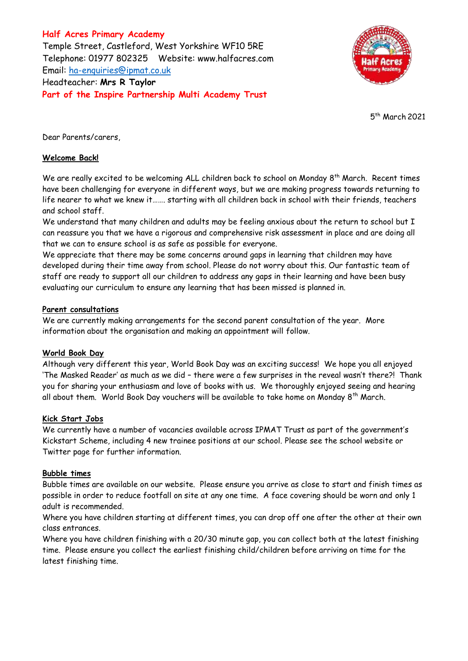**Half Acres Primary Academy** Temple Street, Castleford, West Yorkshire WF10 5RE Telephone: 01977 802325 Website: [www.halfacres.com](http://www.halfacres.com/) Email: [ha-enquiries@ipmat.co.uk](mailto:ha-enquiries@ipmat.co.uk) Headteacher: **Mrs R Taylor Part of the Inspire Partnership Multi Academy Trust**



5 th March 2021

Dear Parents/carers,

# **Welcome Back!**

We are really excited to be welcoming ALL children back to school on Monday 8<sup>th</sup> March. Recent times have been challenging for everyone in different ways, but we are making progress towards returning to life nearer to what we knew it……. starting with all children back in school with their friends, teachers and school staff.

We understand that many children and adults may be feeling anxious about the return to school but I can reassure you that we have a rigorous and comprehensive risk assessment in place and are doing all that we can to ensure school is as safe as possible for everyone.

We appreciate that there may be some concerns around gaps in learning that children may have developed during their time away from school. Please do not worry about this. Our fantastic team of staff are ready to support all our children to address any gaps in their learning and have been busy evaluating our curriculum to ensure any learning that has been missed is planned in.

## **Parent consultations**

We are currently making arrangements for the second parent consultation of the year. More information about the organisation and making an appointment will follow.

## **World Book Day**

Although very different this year, World Book Day was an exciting success! We hope you all enjoyed 'The Masked Reader' as much as we did – there were a few surprises in the reveal wasn't there?! Thank you for sharing your enthusiasm and love of books with us. We thoroughly enjoyed seeing and hearing all about them. World Book Day vouchers will be available to take home on Monday  $8<sup>th</sup>$  March.

## **Kick Start Jobs**

We currently have a number of vacancies available across IPMAT Trust as part of the government's Kickstart Scheme, including 4 new trainee positions at our school. Please see the school website or Twitter page for further information.

## **Bubble times**

Bubble times are available on our website. Please ensure you arrive as close to start and finish times as possible in order to reduce footfall on site at any one time. A face covering should be worn and only 1 adult is recommended.

Where you have children starting at different times, you can drop off one after the other at their own class entrances.

Where you have children finishing with a 20/30 minute gap, you can collect both at the latest finishing time. Please ensure you collect the earliest finishing child/children before arriving on time for the latest finishing time.